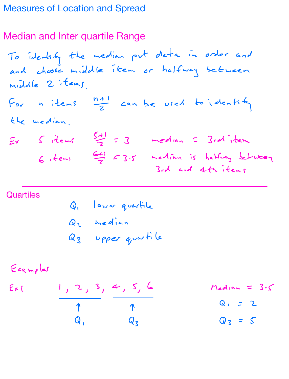## Measures of Location and Spread

## Median and Inter quartile Range

To identify the median put data in order and and choose middle item or halfway betweer middle 2 items For n items  $\frac{n+1}{2}$  can be used to identity the median  $Ex$   $S$  items  $\frac{S+1}{2} = 3$  median = 3rd item  $6$ , tems  $\frac{6+1}{7}$   $\leq$  3.5 median is halfug between 3rd and 4th items

## **Quartiles**

Q lower quartile Qu median Q3 upper quartile

Examples

\n
$$
\frac{1}{\gamma} \cdot \frac{2}{\gamma} \cdot \frac{3}{\gamma} \cdot \frac{4}{\gamma} \cdot \frac{5}{\gamma} \cdot \frac{6}{\gamma}
$$
\n2

\n
$$
\frac{1}{\gamma} \cdot \frac{2}{\gamma} \cdot \frac{3}{\gamma} \cdot \frac{4}{\gamma} \cdot \frac{5}{\gamma} \cdot \frac{6}{\gamma}
$$
\n2

\n
$$
\frac{1}{\gamma} \cdot \frac{1}{\gamma} \cdot \frac{1}{\gamma} \cdot \frac{1}{\gamma} \cdot \frac{1}{\gamma} \cdot \frac{1}{\gamma} \cdot \frac{1}{\gamma} \cdot \frac{1}{\gamma} \cdot \frac{1}{\gamma} \cdot \frac{1}{\gamma} \cdot \frac{1}{\gamma} \cdot \frac{1}{\gamma} \cdot \frac{1}{\gamma} \cdot \frac{1}{\gamma} \cdot \frac{1}{\gamma} \cdot \frac{1}{\gamma} \cdot \frac{1}{\gamma} \cdot \frac{1}{\gamma} \cdot \frac{1}{\gamma} \cdot \frac{1}{\gamma} \cdot \frac{1}{\gamma} \cdot \frac{1}{\gamma} \cdot \frac{1}{\gamma} \cdot \frac{1}{\gamma} \cdot \frac{1}{\gamma} \cdot \frac{1}{\gamma} \cdot \frac{1}{\gamma} \cdot \frac{1}{\gamma} \cdot \frac{1}{\gamma} \cdot \frac{1}{\gamma} \cdot \frac{1}{\gamma} \cdot \frac{1}{\gamma} \cdot \frac{1}{\gamma} \cdot \frac{1}{\gamma} \cdot \frac{1}{\gamma} \cdot \frac{1}{\gamma} \cdot \frac{1}{\gamma} \cdot \frac{1}{\gamma} \cdot \frac{1}{\gamma} \cdot \frac{1}{\gamma} \cdot \frac{1}{\gamma} \cdot \frac{1}{\gamma} \cdot \frac{1}{\gamma} \cdot \frac{1}{\gamma} \cdot \frac{1}{\gamma} \cdot \frac{1}{\gamma} \cdot \frac{1}{\gamma} \cdot \frac{1}{\gamma} \cdot \frac{1}{\gamma} \cdot \frac{1}{\gamma} \cdot \frac{1}{\gamma} \cdot \frac{1}{\gamma} \cdot \frac{1}{\gamma} \cdot \frac{1}{\gamma} \cdot \frac{1}{\gamma} \cdot \frac{1}{\gamma} \cdot \frac{1}{\gamma} \cdot \frac{1}{\gamma} \cdot \frac{1}{\gamma} \cdot \frac{1}{\gamma} \cdot \frac{1}{\gamma
$$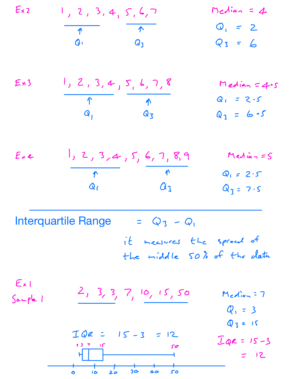Ex <sup>I</sup> <sup>2</sup> <sup>3</sup> <sup>4</sup> <sup>5</sup> 6,7 Median <sup>4</sup> <sup>Q</sup> g Q 2 Q3 6 Ex <sup>I</sup> <sup>2</sup> 3,4 <sup>5</sup> <sup>6</sup> 7,8 Median 4.5 P N <sup>Q</sup> <sup>2</sup> <sup>5</sup> Q 03 Q 6 5 Exe 1 <sup>2</sup> 3,4 <sup>5</sup> 6,7 8,9 Median <sup>5</sup> M M Q 2.5 Qe <sup>Q</sup> 03 7.5 Q3 Q it measures the spread of the middle 50 of the data E <sup>2</sup> <sup>3</sup> <sup>3</sup> <sup>7</sup> <sup>10</sup> <sup>15</sup> <sup>50</sup> Median <sup>7</sup> Sample <sup>I</sup> Q 3 3 15 IQR 15 3 12 I <sup>s</sup> go IQR 15 3 12 b to <sup>2</sup> to do to Interquartile Range